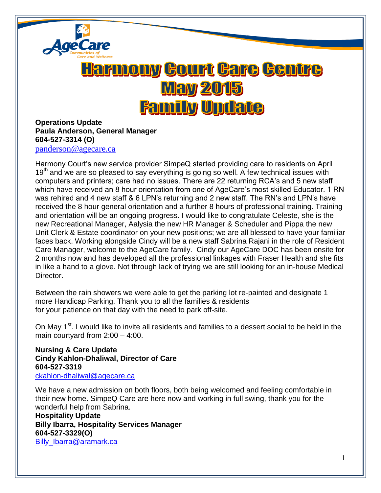

## <u>Harmony Court Care Centre</u> **May 2015 Family Update**

## **Operations Update Paula Anderson, General Manager 604-527-3314 (O)**

[panderson@agecare.ca](mailto:panderson@agecare.ca)

Harmony Court's new service provider SimpeQ started providing care to residents on April 19<sup>th</sup> and we are so pleased to say everything is going so well. A few technical issues with computers and printers; care had no issues. There are 22 returning RCA's and 5 new staff which have received an 8 hour orientation from one of AgeCare's most skilled Educator. 1 RN was rehired and 4 new staff & 6 LPN's returning and 2 new staff. The RN's and LPN's have received the 8 hour general orientation and a further 8 hours of professional training. Training and orientation will be an ongoing progress. I would like to congratulate Celeste, she is the new Recreational Manager, Aalysia the new HR Manager & Scheduler and Pippa the new Unit Clerk & Estate coordinator on your new positions; we are all blessed to have your familiar faces back. Working alongside Cindy will be a new staff Sabrina Rajani in the role of Resident Care Manager, welcome to the AgeCare family. Cindy our AgeCare DOC has been onsite for 2 months now and has developed all the professional linkages with Fraser Health and she fits in like a hand to a glove. Not through lack of trying we are still looking for an in-house Medical Director.

Between the rain showers we were able to get the parking lot re-painted and designate 1 more Handicap Parking. Thank you to all the families & residents for your patience on that day with the need to park off-site.

On May 1<sup>st</sup>. I would like to invite all residents and families to a dessert social to be held in the main courtyard from 2:00 – 4:00.

**Nursing & Care Update Cindy Kahlon-Dhaliwal, Director of Care 604-527-3319** [ckahlon-dhaliwal@agecare.ca](mailto:ckahlon-dhaliwal@agecare.ca)

We have a new admission on both floors, both being welcomed and feeling comfortable in their new home. SimpeQ Care are here now and working in full swing, thank you for the wonderful help from Sabrina.

**Hospitality Update Billy Ibarra, Hospitality Services Manager 604-527-3329(O)** [Billy\\_Ibarra@aramark.ca](mailto:Billy_Ibarra@aramark.ca)